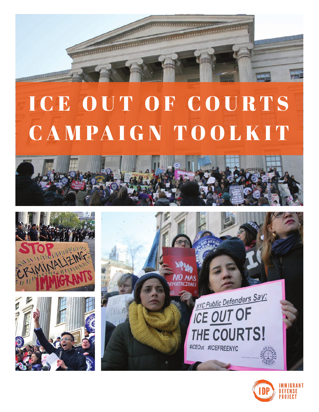

# ICE OUT OF COURTS CAMPAIGN TOOLKIT









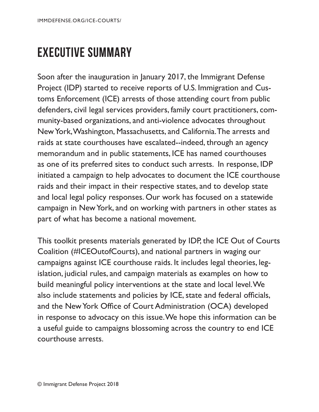#### <span id="page-1-0"></span>**EXECUTIVE SUMMARY**

Soon after the inauguration in January 2017, the Immigrant Defense Project (IDP) started to receive reports of U.S. Immigration and Customs Enforcement (ICE) arrests of those attending court from public defenders, civil legal services providers, family court practitioners, community-based organizations, and anti-violence advocates throughout New York, Washington, Massachusetts, and California. The arrests and raids at state courthouses have escalated--indeed, through an agency memorandum and in public statements, ICE has named courthouses as one of its preferred sites to conduct such arrests. In response, IDP initiated a campaign to help advocates to document the ICE courthouse raids and their impact in their respective states, and to develop state and local legal policy responses. Our work has focused on a statewide campaign in New York, and on working with partners in other states as part of what has become a national movement.

This toolkit presents materials generated by IDP, the ICE Out of Courts Coalition (#ICEOutofCourts), and national partners in waging our campaigns against ICE courthouse raids. It includes legal theories, legislation, judicial rules, and campaign materials as examples on how to build meaningful policy interventions at the state and local level. We also include statements and policies by ICE, state and federal officials, and the New York Office of Court Administration (OCA) developed in response to advocacy on this issue. We hope this information can be a useful guide to campaigns blossoming across the country to end ICE courthouse arrests.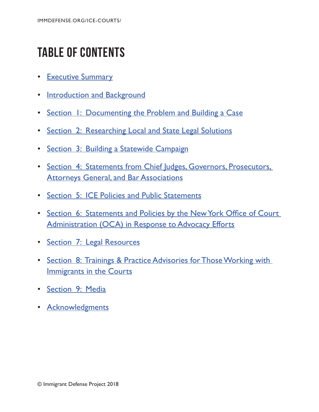## **TABLE OF CONTENTS**

- [Executive Summary](#page-1-0)
- [Introduction and Background](#page-3-0)
- Section [1: Documenting the Problem and Building a Case](#page--1-0)
- Section [2: Researching Local and State Legal Solutions](#page--1-0)
- Section [3: Building a Statewide Campaign](#page--1-0)
- Section 4: Statements from Chief Judges, Governors, Prosecutors, **[Attorneys General, and Bar Associations](#page--1-0)**
- Section [5: ICE Policies and Public Statements](#page--1-0)
- Section 6: Statements and Policies by the New York Office of Court [Administration \(OCA\) in Response to Advocacy Efforts](#page--1-0)
- Section [7: Legal Resources](#page--1-0)
- Section [8: Trainings & Practice Advisories for Those Working with](#page--1-0)  [Immigrants in the Courts](#page--1-0)
- Section [9: Media](#page--1-0)
- [Acknowledgments](#page--1-0)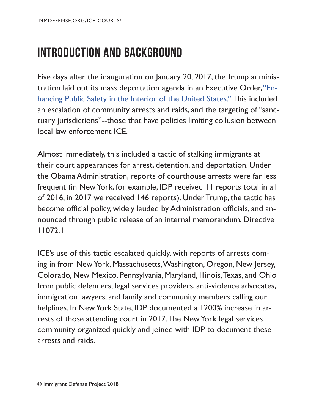#### <span id="page-3-0"></span>**INTRODUCTION AND BACKGROUND**

Five days after the inauguration on January 20, 2017, the Trump adminis-tration laid out its mass deportation agenda in an Executive Order, ["En](https://www.whitehouse.gov/presidential-actions/executive-order-enhancing-public-safety-interior-united-states/)[hancing Public Safety in the Interior of the United States."](https://www.whitehouse.gov/presidential-actions/executive-order-enhancing-public-safety-interior-united-states/) This included an escalation of community arrests and raids, and the targeting of "sanctuary jurisdictions"--those that have policies limiting collusion between local law enforcement ICE.

Almost immediately, this included a tactic of stalking immigrants at their court appearances for arrest, detention, and deportation. Under the Obama Administration, reports of courthouse arrests were far less frequent (in New York, for example, IDP received 11 reports total in all of 2016, in 2017 we received 146 reports). Under Trump, the tactic has become official policy, widely lauded by Administration officials, and announced through public release of an internal memorandum, Directive 11072.1

ICE's use of this tactic escalated quickly, with reports of arrests coming in from New York, Massachusetts, Washington, Oregon, New Jersey, Colorado, New Mexico, Pennsylvania, Maryland, Illinois, Texas, and Ohio from public defenders, legal services providers, anti-violence advocates, immigration lawyers, and family and community members calling our helplines. In New York State, IDP documented a 1200% increase in arrests of those attending court in 2017. The New York legal services community organized quickly and joined with IDP to document these arrests and raids.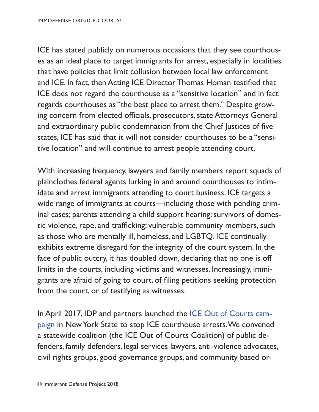ICE has stated publicly on numerous occasions that they see courthouses as an ideal place to target immigrants for arrest, especially in localities that have policies that limit collusion between local law enforcement and ICE. In fact, then Acting ICE Director Thomas Homan testifed that ICE does not regard the courthouse as a "sensitive location" and in fact regards courthouses as "the best place to arrest them." Despite growing concern from elected officials, prosecutors, state Attorneys General and extraordinary public condemnation from the Chief Justices of fve states, ICE has said that it will not consider courthouses to be a "sensitive location" and will continue to arrest people attending court.

With increasing frequency, lawyers and family members report squads of plainclothes federal agents lurking in and around courthouses to intimidate and arrest immigrants attending to court business. ICE targets a wide range of immigrants at courts—including those with pending criminal cases; parents attending a child support hearing; survivors of domestic violence, rape, and trafficking; vulnerable community members, such as those who are mentally ill, homeless, and LGBTQ. ICE continually exhibits extreme disregard for the integrity of the court system. In the face of public outcry, it has doubled down, declaring that no one is off limits in the courts, including victims and witnesses. Increasingly, immigrants are afraid of going to court, of fling petitions seeking protection from the court, or of testifying as witnesses.

In April 2017, IDP and partners launched the **[ICE Out of Courts cam](https://www.immigrantdefenseproject.org/ice-courts-nys/)**[paign](https://www.immigrantdefenseproject.org/ice-courts-nys/) in New York State to stop ICE courthouse arrests. We convened a statewide coalition (the ICE Out of Courts Coalition) of public defenders, family defenders, legal services lawyers, anti-violence advocates, civil rights groups, good governance groups, and community based or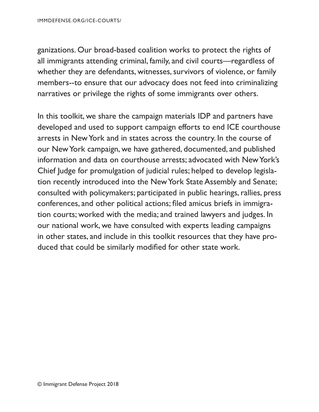ganizations. Our broad-based coalition works to protect the rights of all immigrants attending criminal, family, and civil courts—regardless of whether they are defendants, witnesses, survivors of violence, or family members--to ensure that our advocacy does not feed into criminalizing narratives or privilege the rights of some immigrants over others.

In this toolkit, we share the campaign materials IDP and partners have developed and used to support campaign efforts to end ICE courthouse arrests in New York and in states across the country. In the course of our New York campaign, we have gathered, documented, and published information and data on courthouse arrests; advocated with New York's Chief Judge for promulgation of judicial rules; helped to develop legislation recently introduced into the New York State Assembly and Senate; consulted with policymakers; participated in public hearings, rallies, press conferences, and other political actions; fled amicus briefs in immigration courts; worked with the media; and trained lawyers and judges. In our national work, we have consulted with experts leading campaigns in other states, and include in this toolkit resources that they have produced that could be similarly modifed for other state work.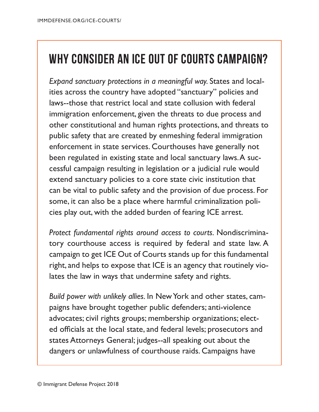#### **WHY CONSIDER AN ICE OUT OF COURTS CAMPAIGN?**

*Expand sanctuary protections in a meaningful way.* States and localities across the country have adopted "sanctuary" policies and laws--those that restrict local and state collusion with federal immigration enforcement, given the threats to due process and other constitutional and human rights protections, and threats to public safety that are created by enmeshing federal immigration enforcement in state services. Courthouses have generally not been regulated in existing state and local sanctuary laws. A successful campaign resulting in legislation or a judicial rule would extend sanctuary policies to a core state civic institution that can be vital to public safety and the provision of due process. For some, it can also be a place where harmful criminalization policies play out, with the added burden of fearing ICE arrest.

*Protect fundamental rights around access to courts.* Nondiscriminatory courthouse access is required by federal and state law. A campaign to get ICE Out of Courts stands up for this fundamental right, and helps to expose that ICE is an agency that routinely violates the law in ways that undermine safety and rights.

*Build power with unlikely allies.* In New York and other states, campaigns have brought together public defenders; anti-violence advocates; civil rights groups; membership organizations; elected officials at the local state, and federal levels; prosecutors and states Attorneys General; judges--all speaking out about the dangers or unlawfulness of courthouse raids. Campaigns have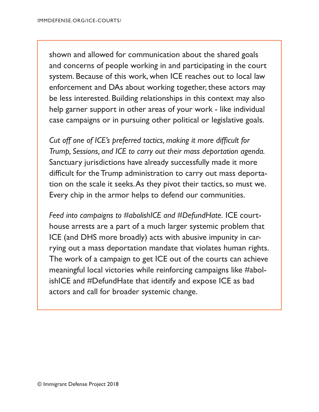shown and allowed for communication about the shared goals and concerns of people working in and participating in the court system. Because of this work, when ICE reaches out to local law enforcement and DAs about working together, these actors may be less interested. Building relationships in this context may also help garner support in other areas of your work - like individual case campaigns or in pursuing other political or legislative goals.

*Cut off one of ICE's preferred tactics, making it more diffcult for Trump, Sessions, and ICE to carry out their mass deportation agenda.*  Sanctuary jurisdictions have already successfully made it more difficult for the Trump administration to carry out mass deportation on the scale it seeks. As they pivot their tactics, so must we. Every chip in the armor helps to defend our communities.

*Feed into campaigns to #abolishICE and #DefundHate.* ICE courthouse arrests are a part of a much larger systemic problem that ICE (and DHS more broadly) acts with abusive impunity in carrying out a mass deportation mandate that violates human rights. The work of a campaign to get ICE out of the courts can achieve meaningful local victories while reinforcing campaigns like #abolishICE and #DefundHate that identify and expose ICE as bad actors and call for broader systemic change.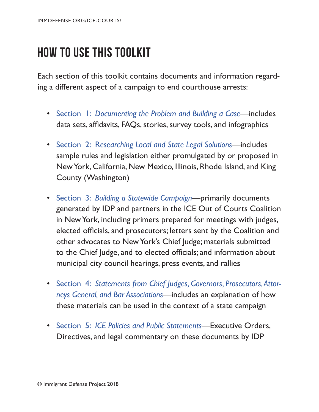### **HOW TO USE THIS TOOLKIT**

Each section of this toolkit contains documents and information regarding a different aspect of a campaign to end courthouse arrests:

- Section 1: *[Documenting the Problem and Building a Case](#page--1-0)*—includes data sets, affdavits, FAQs, stories, survey tools, and infographics
- Section 2: R*[esearching Local and State Legal Solutions](#page--1-0)*—includes sample rules and legislation either promulgated by or proposed in New York, California, New Mexico, Illinois, Rhode Island, and King County (Washington)
- Section 3: *[Building a Statewide Campaign](#page--1-0)*—primarily documents generated by IDP and partners in the ICE Out of Courts Coalition in New York, including primers prepared for meetings with judges, elected officials, and prosecutors; letters sent by the Coalition and other advocates to New York's Chief Judge; materials submitted to the Chief Judge, and to elected officials; and information about municipal city council hearings, press events, and rallies
- Section 4: *[Statements from Chief Judges, Governors, Prosecutors, Attor](#page--1-0)[neys General, and Bar Associations](#page--1-0)*—includes an explanation of how these materials can be used in the context of a state campaign
- Section 5: *[ICE Policies and Public Statements](#page--1-0)*—Executive Orders, Directives, and legal commentary on these documents by IDP